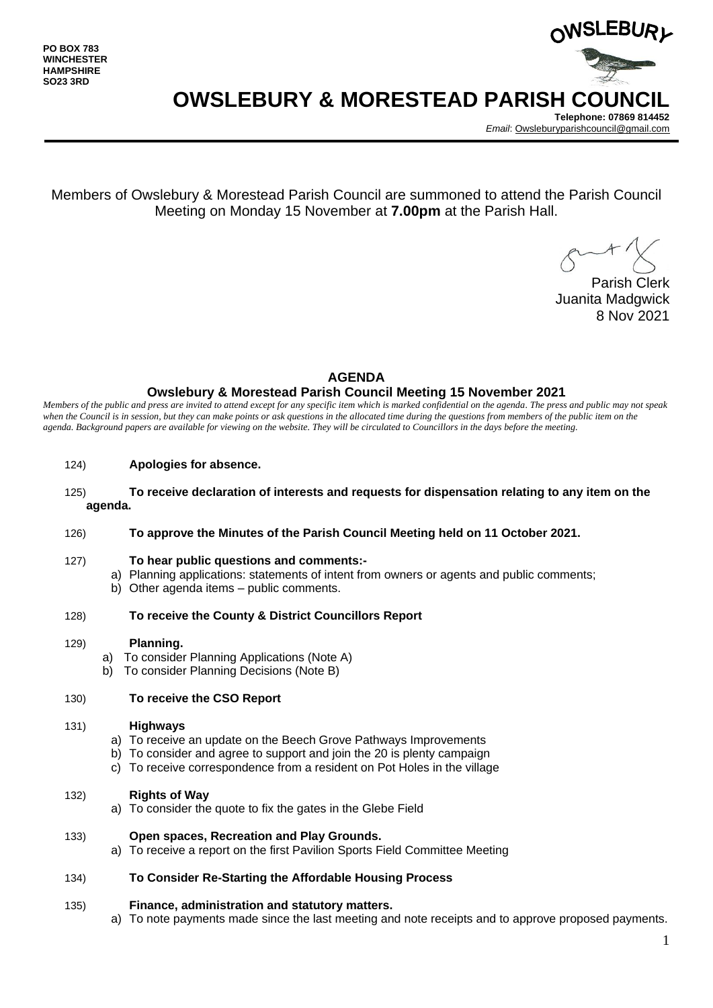

**OWSLEBURY & MORESTEAD PARISH COUNCIL**

**Telephone: 07869 814452** *Email*[: Owsleburyparishcouncil@gmail.com](mailto:Owsleburyparishcouncil@gmail.com)

Members of Owslebury & Morestead Parish Council are summoned to attend the Parish Council Meeting on Monday 15 November at **7.00pm** at the Parish Hall.

Parish Clerk Juanita Madgwick 8 Nov 2021

#### **AGENDA**

## **Owslebury & Morestead Parish Council Meeting 15 November 2021**

*Members of the public and press are invited to attend except for any specific item which is marked confidential on the agenda. The press and public may not speak*  when the Council is in session, but they can make points or ask questions in the allocated time during the questions from members of the public item on the *agenda. Background papers are available for viewing on the website. They will be circulated to Councillors in the days before the meeting.* 

- 124) **Apologies for absence.**
- 125) **To receive declaration of interests and requests for dispensation relating to any item on the agenda.**
- 126) **To approve the Minutes of the Parish Council Meeting held on 11 October 2021.**
- 127) **To hear public questions and comments:**
	- a) Planning applications: statements of intent from owners or agents and public comments;
	- b) Other agenda items public comments.
- 128) **To receive the County & District Councillors Report**
- 129) **Planning.** 
	- a) To consider Planning Applications (Note A)
	- b) To consider Planning Decisions (Note B)

## 130) **To receive the CSO Report**

#### 131) **Highways**

- a) To receive an update on the Beech Grove Pathways Improvements
- b) To consider and agree to support and join the 20 is plenty campaign
- c) To receive correspondence from a resident on Pot Holes in the village
- 132) **Rights of Way**
	- a) To consider the quote to fix the gates in the Glebe Field
- 133) **Open spaces, Recreation and Play Grounds.**
	- a) To receive a report on the first Pavilion Sports Field Committee Meeting

## 134) **To Consider Re-Starting the Affordable Housing Process**

#### 135) **Finance, administration and statutory matters.**

a) To note payments made since the last meeting and note receipts and to approve proposed payments.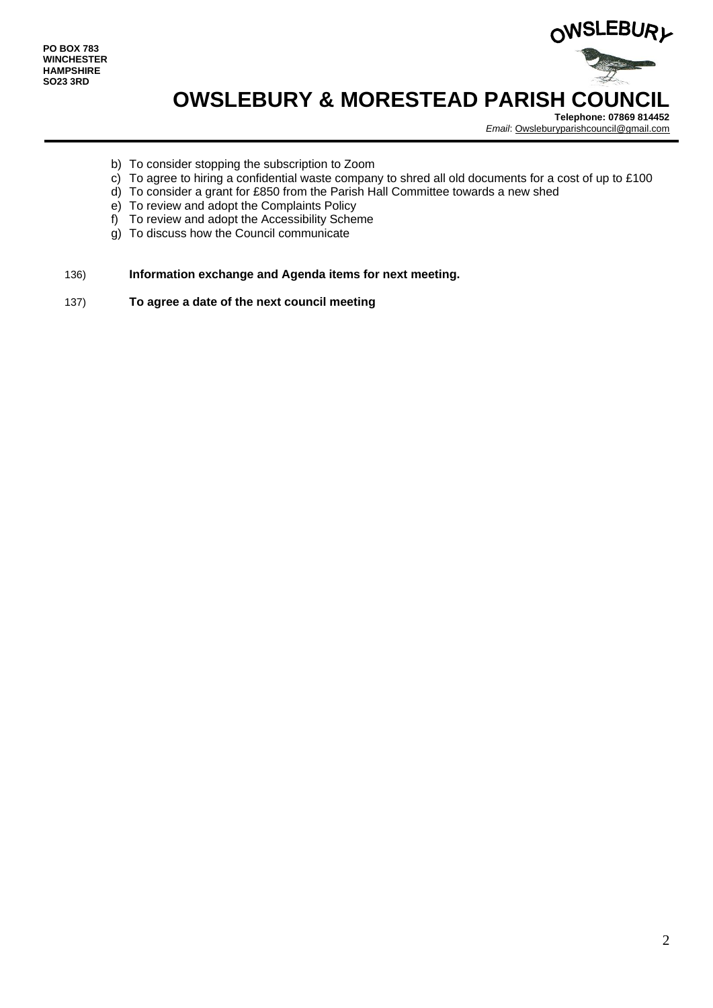

# **OWSLEBURY & MORESTEAD PARISH COUNCIL**

**Telephone: 07869 814452** *Email*[: Owsleburyparishcouncil@gmail.com](mailto:Owsleburyparishcouncil@gmail.com)

- b) To consider stopping the subscription to Zoom
- c) To agree to hiring a confidential waste company to shred all old documents for a cost of up to £100
- d) To consider a grant for £850 from the Parish Hall Committee towards a new shed
- e) To review and adopt the Complaints Policy
- f) To review and adopt the Accessibility Scheme
- g) To discuss how the Council communicate
- 136) **Information exchange and Agenda items for next meeting.**
- 137) **To agree a date of the next council meeting**